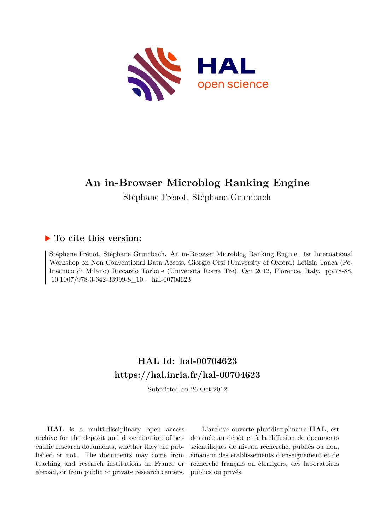

# **An in-Browser Microblog Ranking Engine**

Stéphane Frénot, Stéphane Grumbach

## **To cite this version:**

Stéphane Frénot, Stéphane Grumbach. An in-Browser Microblog Ranking Engine. 1st International Workshop on Non Conventional Data Access, Giorgio Orsi (University of Oxford) Letizia Tanca (Politecnico di Milano) Riccardo Torlone (Università Roma Tre), Oct 2012, Florence, Italy. pp.78-88,  $10.1007/978-3-642-33999-8$  10 hal-00704623

# **HAL Id: hal-00704623 <https://hal.inria.fr/hal-00704623>**

Submitted on 26 Oct 2012

**HAL** is a multi-disciplinary open access archive for the deposit and dissemination of scientific research documents, whether they are published or not. The documents may come from teaching and research institutions in France or abroad, or from public or private research centers.

L'archive ouverte pluridisciplinaire **HAL**, est destinée au dépôt et à la diffusion de documents scientifiques de niveau recherche, publiés ou non, émanant des établissements d'enseignement et de recherche français ou étrangers, des laboratoires publics ou privés.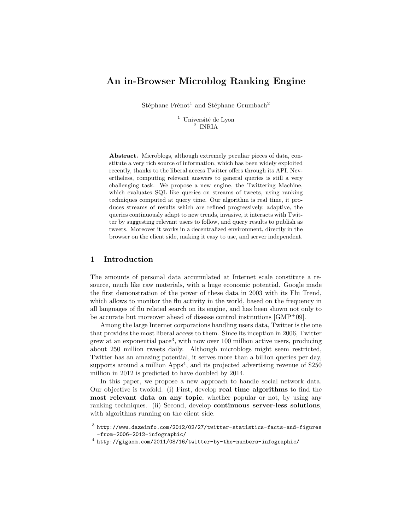## An in-Browser Microblog Ranking Engine

Stéphane Frénot<sup>1</sup> and Stéphane Grumbach<sup>2</sup>

 $1$  Université de Lyon 2 INRIA

Abstract. Microblogs, although extremely peculiar pieces of data, constitute a very rich source of information, which has been widely exploited recently, thanks to the liberal access Twitter offers through its API. Nevertheless, computing relevant answers to general queries is still a very challenging task. We propose a new engine, the Twittering Machine, which evaluates SQL like queries on streams of tweets, using ranking techniques computed at query time. Our algorithm is real time, it produces streams of results which are refined progressively, adaptive, the queries continuously adapt to new trends, invasive, it interacts with Twitter by suggesting relevant users to follow, and query results to publish as tweets. Moreover it works in a decentralized environment, directly in the browser on the client side, making it easy to use, and server independent.

## 1 Introduction

The amounts of personal data accumulated at Internet scale constitute a resource, much like raw materials, with a huge economic potential. Google made the first demonstration of the power of these data in 2003 with its Flu Trend, which allows to monitor the flu activity in the world, based on the frequency in all languages of flu related search on its engine, and has been shown not only to be accurate but moreover ahead of disease control institutions [GMP<sup>+</sup>09].

Among the large Internet corporations handling users data, Twitter is the one that provides the most liberal access to them. Since its inception in 2006, Twitter grew at an exponential pace<sup>3</sup>, with now over 100 million active users, producing about 250 million tweets daily. Although microblogs might seem restricted, Twitter has an amazing potential, it serves more than a billion queries per day, supports around a million  $Apps<sup>4</sup>$ , and its projected advertising revenue of \$250 million in 2012 is predicted to have doubled by 2014.

In this paper, we propose a new approach to handle social network data. Our objective is twofold. (i) First, develop real time algorithms to find the most relevant data on any topic, whether popular or not, by using any ranking techniques. (ii) Second, develop continuous server-less solutions, with algorithms running on the client side.

 $^3$  http://www.dazeinfo.com/2012/02/27/twitter-statistics-facts-and-figures -from-2006-2012-infographic/

<sup>4</sup> http://gigaom.com/2011/08/16/twitter-by-the-numbers-infographic/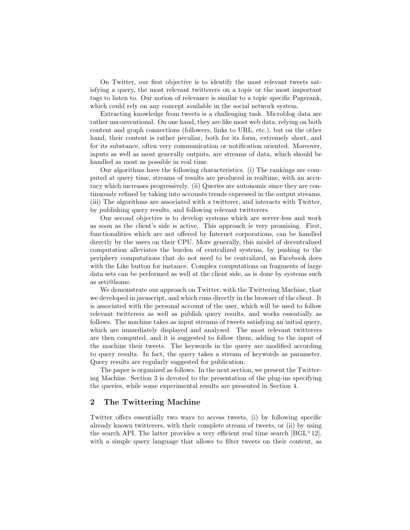On Twitter, our first objective is to identify the most relevant tweets satisfying a query, the most relevant twitterers on a topic or the most important tags to listen to. Our notion of relevance is similar to a topic specific Pagerank, which could rely on any concept available in the social network system.

Extracting knowledge from tweets is a challenging task. Microblog data are rather unconventional. On one hand, they are like most web data, relying on both content and graph connections (followers, links to URL, etc.), but on the other hand, their content is rather peculiar, both for its form, extremely short, and for its substance, often very communication or notification oriented. Moreover, inputs as well as most generally outputs, are streams of data, which should be handled as most as possible in real time.

Our algorithms have the following characteristics. (i) The rankings are computed at query time, streams of results are produced in realtime, with an accuracy which increases progressively. (ii) Queries are autonomic since they are continuously refined by taking into accounts trends expressed in the output streams. (iii) The algorithms are associated with a twitterer, and interacts with Twitter, by publishing query results, and following relevant twitterers.

Our second objective is to develop systems which are server-less and work as soon as the client's side is active. This approach is very promising. First, functionalities which are not offered by Internet corporations, can be handled directly by the users on their CPU. More generally, this model of decentralized computation alleviates the burden of centralized systems, by pushing to the periphery computations that do not need to be centralized, as Facebook does with the Like button for instance. Complex computations on fragments of large data sets can be performed as well at the client side, as is done by systems such as seti@home.

We demonstrate our approach on Twitter, with the Twittering Machine, that we developed in javascript, and which runs directly in the browser of the client. It is associated with the personal account of the user, which will be used to follow relevant twitterers as well as publish query results, and works essentially as follows. The machine takes as input streams of tweets satisfying an initial query, which are immediately displayed and analysed. The most relevant twitterers are then computed, and it is suggested to follow them, adding to the input of the machine their tweets. The keywords in the query are modified according to query results. In fact, the query takes a stream of keywords as parameter. Query results are regularly suggested for publication.

The paper is organized as follows. In the next section, we present the Twittering Machine. Section 3 is devoted to the presentation of the plug-ins specifying the queries, while some experimental results are presented in Section 4.

#### 2 The Twittering Machine

Twitter offers essentially two ways to access tweets, (i) by following specific already known twitterers, with their complete stream of tweets, or (ii) by using the search API. The latter provides a very efficient real time search  $[BGL^+12]$ , with a simple query language that allows to filter tweets on their content, as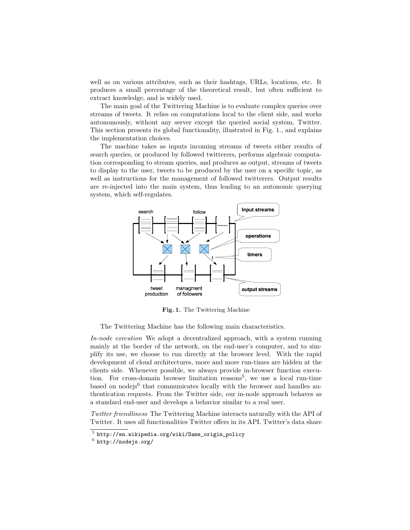well as on various attributes, such as their hashtags, URLs, locations, etc. It produces a small percentage of the theoretical result, but often sufficient to extract knowledge, and is widely used.

The main goal of the Twittering Machine is to evaluate complex queries over streams of tweets. It relies on computations local to the client side, and works autonomously, without any server except the queried social system, Twitter. This section presents its global functionality, illustrated in Fig. 1., and explains the implementation choices.

The machine takes as inputs incoming streams of tweets either results of search queries, or produced by followed twitterers, performs algebraic computation corresponding to stream queries, and produces as output, streams of tweets to display to the user, tweets to be produced by the user on a specific topic, as well as instructions for the management of followed twitterers. Output results are re-injected into the main system, thus leading to an autonomic querying system, which self-regulates.



Fig. 1. The Twittering Machine

The Twittering Machine has the following main characteristics.

In-node execution We adopt a decentralized approach, with a system running mainly at the border of the network, on the end-user's computer, and to simplify its use, we choose to run directly at the browser level. With the rapid development of cloud architectures, more and more run-times are hidden at the clients side. Whenever possible, we always provide in-browser function execution. For cross-domain browser limitation reasons<sup>5</sup>, we use a local run-time based on nodejs<sup>6</sup> that communicates locally with the browser and handles authentication requests. From the Twitter side, our in-node approach behaves as a standard end-user and develops a behavior similar to a real user.

Twitter friendliness The Twittering Machine interacts naturally with the API of Twitter. It uses all functionalities Twitter offers in its API. Twitter's data share

 $^5$  http://en.wikipedia.org/wiki/Same\_origin\_policy

 $6$  http://nodejs.org/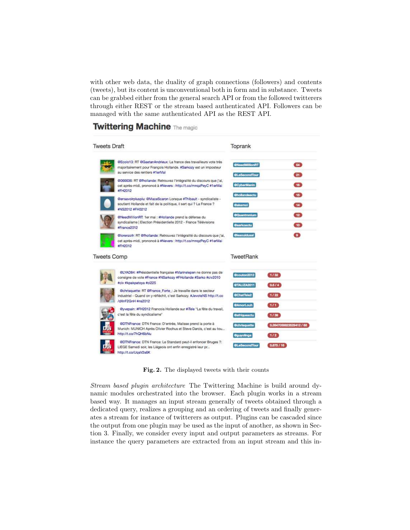with other web data, the duality of graph connections (followers) and contents (tweets), but its content is unconventional both in form and in substance. Tweets can be grabbed either from the general search API or from the followed twitterers through either REST or the stream based authenticated API. Followers can be managed with the same authenticated API as the REST API.

## **Twittering Machine The magic**

| <b>Tweets Draft</b> |                                                                                                                                                             | Toprank                           |       |                         |
|---------------------|-------------------------------------------------------------------------------------------------------------------------------------------------------------|-----------------------------------|-------|-------------------------|
|                     | @Ecolo13: RT @GaetanAndrieux: La france des travailleurs vote très<br>majoritairement pour François Hollande. #Sarkozy est un imposteur                     | <b>@NeedMillionRT</b>             |       | Œ                       |
|                     | au service des rentiers #1erMai                                                                                                                             | <b>CLeSecondTour</b>              |       | <b>PT</b>               |
|                     | @066636: RT @fhollande: Retrouvez l'intégralité du discours que j'ai,<br>cet après-midi, prononcé à #Nevers : http://t.co/mnozPeyC #1erMai<br>#FH2012       | <b>CCyberManin</b>                |       | <b>GTES</b>             |
|                     |                                                                                                                                                             | <b>Chollandeactu</b>              |       | <b>STE</b>              |
|                     | @ensavoirplusplu: @MaceScaron Lorsque #Thibault - syndicaliste -<br>soutient Hollande et fait de la politique, il sert qui ? La France ?<br>#NS2012 #FH0212 | <b>Gakemol</b>                    |       | $-14$                   |
|                     | @NeedMillionRT: 1er mai : #Hollande prend la défense du                                                                                                     | <b>COuantronium</b>               |       | $\overline{12}$         |
|                     | syndicalisme   Election Présidentielle 2012 - France Télévisions<br>#France2012                                                                             | <b>Gearkoactu</b>                 |       | (10)                    |
|                     |                                                                                                                                                             | <b>Clesouldusal</b>               |       | O                       |
|                     | @lorenzofr: RT @fhollande: Retrouvez l'intégralité du discours que j'ai,<br>cet après-midi, prononcé à #Nevers : http://t.co/mnqzPeyC #1erMai<br>#FH2012    |                                   |       |                         |
|                     |                                                                                                                                                             | TweetRank                         |       |                         |
|                     | @LYAD84: #Présidentielle française #Marinelepen ne donne pas de<br>consigne de vote #France #NSarkozy #FHollande #Sarko #civ2010                            | Couton2012                        | 1/32  |                         |
| <b>Tweets Comp</b>  | #civ #kpakpatoya #ci225                                                                                                                                     | @TALIZA2011                       | 0.5/4 |                         |
|                     | @chrisquette: RT @France_Forte : Je travaille dans le secteur<br>industriel - Quand on y réfléchit, c'est Sarkozy. #JevoteNS http://t.co                    | <b>@ChatTale2</b>                 | 1/22  |                         |
|                     | /dXnF2GnH #ns2012                                                                                                                                           | <b>GAmorLouh</b>                  | (1/1) |                         |
|                     | @yvepain: #FH2012 Francois Hollande sur #iTele "La fête du travail,<br>c'est la fête du syndicalisme*                                                       | <b>Cafriquesctu</b>               | 1/30  |                         |
|                     | @DTNFrance: DTN France: D'entrée, Malisse prend la porte à<br>Munich: MUNICH Après Olivier Rochus et Steve Darcis, c'est au tou                             | <b><i><u>@chrisquette</u></i></b> |       | 0.2647058823529412 / 68 |
|                     | http://t.co/7hQH6bNu                                                                                                                                        | <b>Gguyolings</b>                 | 1/2   |                         |

Fig. 2. The displayed tweets with their counts

Stream based plugin architecture The Twittering Machine is build around dynamic modules orchestrated into the browser. Each plugin works in a stream based way. It manages an input stream generally of tweets obtained through a dedicated query, realizes a grouping and an ordering of tweets and finally generates a stream for instance of twitterers as output. Plugins can be cascaded since the output from one plugin may be used as the input of another, as shown in Section 3. Finally, we consider every input and output parameters as streams. For instance the query parameters are extracted from an input stream and this in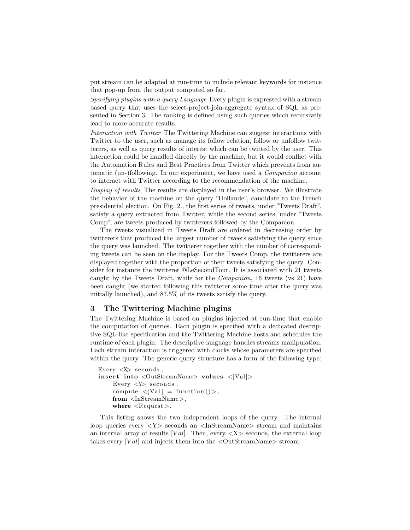put stream can be adapted at run-time to include relevant keywords for instance that pop-up from the output computed so far.

Specifying plugins with a query Language Every plugin is expressed with a stream based query that uses the select-project-join-aggregate syntax of SQL as presented in Section 3. The ranking is defined using such queries which recursively lead to more accurate results.

Interaction with Twitter The Twittering Machine can suggest interactions with Twitter to the user, such as manage its follow relation, follow or unfollow twitterers, as well as query results of interest which can be twitted by the user. This interaction could be handled directly by the machine, but it would conflict with the Automation Rules and Best Practices from Twitter which prevents from automatic (un-)following. In our experiment, we have used a Companion account to interact with Twitter according to the recommendation of the machine.

Display of results. The results are displayed in the user's browser. We illustrate the behavior of the machine on the query "Hollande", candidate to the French presidential election. On Fig. 2., the first series of tweets, under "Tweets Draft", satisfy a query extracted from Twitter, while the second series, under "Tweets Comp", are tweets produced by twitterers followed by the Companion.

The tweets visualized in Tweets Draft are ordered in decreasing order by twitterers that produced the largest number of tweets satisfying the query since the query was launched. The twitterer together with the number of corresponding tweets can be seen on the display. For the Tweets Comp, the twitterers are displayed together with the proportion of their tweets satisfying the query. Consider for instance the twitterer @LeSecondTour. It is associated with 21 tweets caught by the Tweets Draft, while for the Companion, 16 tweets (vs 21) have been caught (we started following this twitterer some time after the query was initially launched), and 87.5% of its tweets satisfy the query.

## 3 The Twittering Machine plugins

The Twittering Machine is based on plugins injected at run-time that enable the computation of queries. Each plugin is specified with a dedicated descriptive SQL-like specification and the Twittering Machine hosts and schedules the runtime of each plugin. The descriptive language handles streams manipulation. Each stream interaction is triggered with clocks whose parameters are specified within the query. The generic query structure has a form of the following type:

```
Every \langle X \rangle seconds.
insert into <OutStreamName> values <[Val]>
      Every \langle Y \rangle seconds,
      compute \langle \mathrm{Val} \rangle = \mathrm{function}().
      from <InStreamName>,
      where \langleRequest \rangle.
```
This listing shows the two independent loops of the query. The internal loop queries every  $\langle Y \rangle$  seconds an  $\langle$ InStreamName $\rangle$  stream and maintains an internal array of results [Val]. Then, every  $\langle X \rangle$  seconds, the external loop takes every  $[Val]$  and injects them into the  $\langle OutStreamName \rangle$  stream.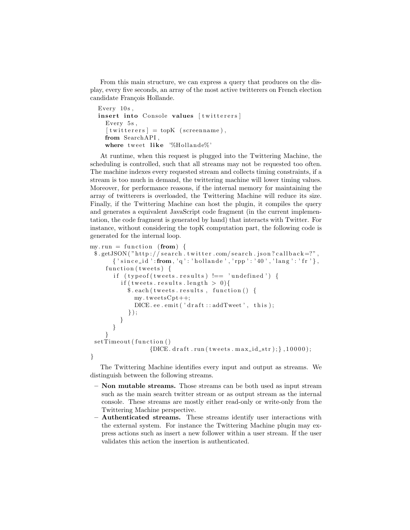From this main structure, we can express a query that produces on the display, every five seconds, an array of the most active twitterers on French election candidate François Hollande.

Every  $10s$ , insert into Console values [twitterers] Every 5s,  $[\text{twitters}] = \text{topK} (\text{screename}),$ from SearchAPI , where tweet like  $\%$ Hollande%'

At runtime, when this request is plugged into the Twittering Machine, the scheduling is controlled, such that all streams may not be requested too often. The machine indexes every requested stream and collects timing constraints, if a stream is too much in demand, the twittering machine will lower timing values. Moreover, for performance reasons, if the internal memory for maintaining the array of twitterers is overloaded, the Twittering Machine will reduce its size. Finally, if the Twittering Machine can host the plugin, it compiles the query and generates a equivalent JavaScript code fragment (in the current implementation, the code fragment is generated by hand) that interacts with Twitter. For instance, without considering the topK computation part, the following code is generated for the internal loop.

```
my. run = function (from) {
 $.getJSON("http://search.twitter.com/search.json?callback=?",
        {'since_id':from,'q':'hollande','rpp':'40','lang':'fr'},
     function (tweets) {
        if (ty peof (t weets. results ) != \cdot undefined \cdot ) {
          if ( tweets. results. length > 0){
             \text{\$.} \text{each} \left( \text{tweets.} \text{results} \right), \text{ function} \left( \right) \left. \right)my. tweetsCpt++;
               DICE. ee. emit ('draff::addTweet', this);\} ) ;
          }
       }
     }
 setTimeout (function (){DICE. draft.run(tweets.max_id_str);}, 10000);
}
```
The Twittering Machine identifies every input and output as streams. We distinguish between the following streams.

- Non mutable streams. Those streams can be both used as input stream such as the main search twitter stream or as output stream as the internal console. These streams are mostly either read-only or write-only from the Twittering Machine perspective.
- Authenticated streams. These streams identify user interactions with the external system. For instance the Twittering Machine plugin may express actions such as insert a new follower within a user stream. If the user validates this action the insertion is authenticated.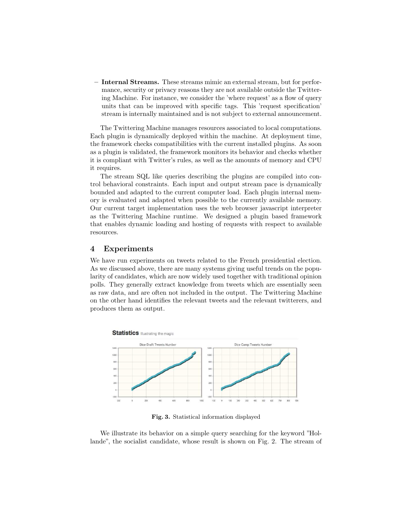– Internal Streams. These streams mimic an external stream, but for performance, security or privacy reasons they are not available outside the Twittering Machine. For instance, we consider the 'where request' as a flow of query units that can be improved with specific tags. This 'request specification' stream is internally maintained and is not subject to external announcement.

The Twittering Machine manages resources associated to local computations. Each plugin is dynamically deployed within the machine. At deployment time, the framework checks compatibilities with the current installed plugins. As soon as a plugin is validated, the framework monitors its behavior and checks whether it is compliant with Twitter's rules, as well as the amounts of memory and CPU it requires.

The stream SQL like queries describing the plugins are compiled into control behavioral constraints. Each input and output stream pace is dynamically bounded and adapted to the current computer load. Each plugin internal memory is evaluated and adapted when possible to the currently available memory. Our current target implementation uses the web browser javascript interpreter as the Twittering Machine runtime. We designed a plugin based framework that enables dynamic loading and hosting of requests with respect to available resources.

#### 4 Experiments

We have run experiments on tweets related to the French presidential election. As we discussed above, there are many systems giving useful trends on the popularity of candidates, which are now widely used together with traditional opinion polls. They generally extract knowledge from tweets which are essentially seen as raw data, and are often not included in the output. The Twittering Machine on the other hand identifies the relevant tweets and the relevant twitterers, and produces them as output.



Fig. 3. Statistical information displayed

We illustrate its behavior on a simple query searching for the keyword "Hollande", the socialist candidate, whose result is shown on Fig. 2. The stream of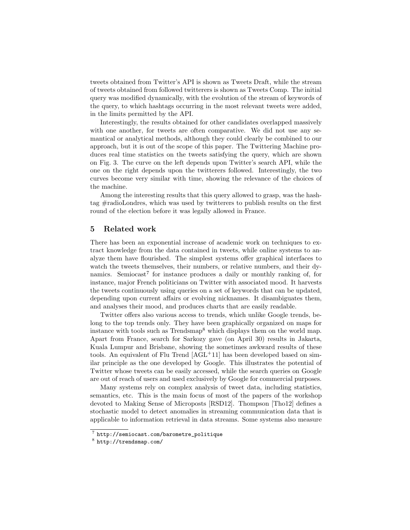tweets obtained from Twitter's API is shown as Tweets Draft, while the stream of tweets obtained from followed twitterers is shown as Tweets Comp. The initial query was modified dynamically, with the evolution of the stream of keywords of the query, to which hashtags occurring in the most relevant tweets were added, in the limits permitted by the API.

Interestingly, the results obtained for other candidates overlapped massively with one another, for tweets are often comparative. We did not use any semantical or analytical methods, although they could clearly be combined to our approach, but it is out of the scope of this paper. The Twittering Machine produces real time statistics on the tweets satisfying the query, which are shown on Fig. 3. The curve on the left depends upon Twitter's search API, while the one on the right depends upon the twitterers followed. Interestingly, the two curves become very similar with time, showing the relevance of the choices of the machine.

Among the interesting results that this query allowed to grasp, was the hashtag #radioLondres, which was used by twitterers to publish results on the first round of the election before it was legally allowed in France.

## 5 Related work

There has been an exponential increase of academic work on techniques to extract knowledge from the data contained in tweets, while online systems to analyze them have flourished. The simplest systems offer graphical interfaces to watch the tweets themselves, their numbers, or relative numbers, and their dynamics. Semiocast<sup>7</sup> for instance produces a daily or monthly ranking of, for instance, major French politicians on Twitter with associated mood. It harvests the tweets continuously using queries on a set of keywords that can be updated, depending upon current affairs or evolving nicknames. It disambiguates them, and analyses their mood, and produces charts that are easily readable.

Twitter offers also various access to trends, which unlike Google trends, belong to the top trends only. They have been graphically organized on maps for instance with tools such as  $Trendsmap<sup>8</sup>$  which displays them on the world map. Apart from France, search for Sarkozy gave (on April 30) results in Jakarta, Kuala Lumpur and Brisbane, showing the sometimes awkward results of these tools. An equivalent of Flu Trend [AGL<sup>+</sup>11] has been developed based on similar principle as the one developed by Google. This illustrates the potential of Twitter whose tweets can be easily accessed, while the search queries on Google are out of reach of users and used exclusively by Google for commercial purposes.

Many systems rely on complex analysis of tweet data, including statistics, semantics, etc. This is the main focus of most of the papers of the workshop devoted to Making Sense of Microposts [RSD12]. Thompson [Tho12] defines a stochastic model to detect anomalies in streaming communication data that is applicable to information retrieval in data streams. Some systems also measure

<sup>7</sup> http://semiocast.com/barometre\_politique

<sup>8</sup> http://trendsmap.com/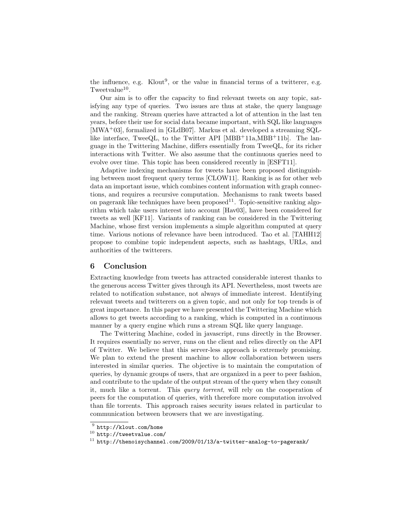the influence, e.g. Klout<sup>9</sup>, or the value in financial terms of a twitterer, e.g.  $Tweet value<sup>10</sup>$ .

Our aim is to offer the capacity to find relevant tweets on any topic, satisfying any type of queries. Two issues are thus at stake, the query language and the ranking. Stream queries have attracted a lot of attention in the last ten years, before their use for social data became important, with SQL like languages [MWA+03], formalized in [GLdB07]. Markus et al. developed a streaming SQLlike interface, TweeQL, to the Twitter API  $[MBB+11a, MBB+11b]$ . The language in the Twittering Machine, differs essentially from TweeQL, for its richer interactions with Twitter. We also assume that the continuous queries need to evolve over time. This topic has been considered recently in [ESFT11].

Adaptive indexing mechanisms for tweets have been proposed distinguishing between most frequent query terms [CLOW11]. Ranking is as for other web data an important issue, which combines content information with graph connections, and requires a recursive computation. Mechanisms to rank tweets based on pagerank like techniques have been proposed<sup>11</sup>. Topic-sensitive ranking algorithm which take users interest into account [Hav03], have been considered for tweets as well [KF11]. Variants of ranking can be considered in the Twittering Machine, whose first version implements a simple algorithm computed at query time. Various notions of relevance have been introduced. Tao et al. [TAHH12] propose to combine topic independent aspects, such as hashtags, URLs, and authorities of the twitterers.

## 6 Conclusion

Extracting knowledge from tweets has attracted considerable interest thanks to the generous access Twitter gives through its API. Nevertheless, most tweets are related to notification substance, not always of immediate interest. Identifying relevant tweets and twitterers on a given topic, and not only for top trends is of great importance. In this paper we have presented the Twittering Machine which allows to get tweets according to a ranking, which is computed in a continuous manner by a query engine which runs a stream SQL like query language.

The Twittering Machine, coded in javascript, runs directly in the Browser. It requires essentially no server, runs on the client and relies directly on the API of Twitter. We believe that this server-less approach is extremely promising. We plan to extend the present machine to allow collaboration between users interested in similar queries. The objective is to maintain the computation of queries, by dynamic groups of users, that are organized in a peer to peer fashion, and contribute to the update of the output stream of the query when they consult it, much like a torrent. This query torrent, will rely on the cooperation of peers for the computation of queries, with therefore more computation involved than file torrents. This approach raises security issues related in particular to communication between browsers that we are investigating.

<sup>9</sup> http://klout.com/home

<sup>10</sup> http://tweetvalue.com/

 $11$  http://thenoisychannel.com/2009/01/13/a-twitter-analog-to-pagerank/